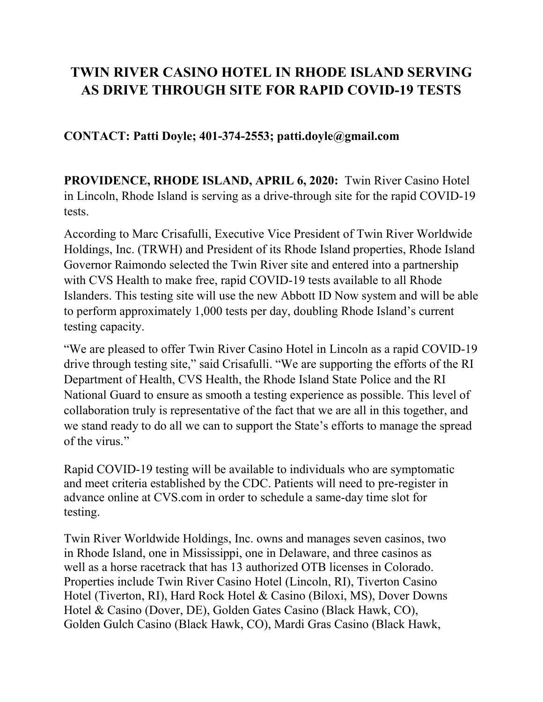## **TWIN RIVER CASINO HOTEL IN RHODE ISLAND SERVING AS DRIVE THROUGH SITE FOR RAPID COVID-19 TESTS**

**CONTACT: Patti Doyle; 401-374-2553; patti.doyle@gmail.com**

**PROVIDENCE, RHODE ISLAND, APRIL 6, 2020:** Twin River Casino Hotel in Lincoln, Rhode Island is serving as a drive-through site for the rapid COVID-19 tests.

According to Marc Crisafulli, Executive Vice President of Twin River Worldwide Holdings, Inc. (TRWH) and President of its Rhode Island properties, Rhode Island Governor Raimondo selected the Twin River site and entered into a partnership with CVS Health to make free, rapid COVID-19 tests available to all Rhode Islanders. This testing site will use the new Abbott ID Now system and will be able to perform approximately 1,000 tests per day, doubling Rhode Island's current testing capacity.

"We are pleased to offer Twin River Casino Hotel in Lincoln as a rapid COVID-19 drive through testing site," said Crisafulli. "We are supporting the efforts of the RI Department of Health, CVS Health, the Rhode Island State Police and the RI National Guard to ensure as smooth a testing experience as possible. This level of collaboration truly is representative of the fact that we are all in this together, and we stand ready to do all we can to support the State's efforts to manage the spread of the virus."

Rapid COVID-19 testing will be available to individuals who are symptomatic and meet criteria established by the CDC. Patients will need to pre-register in advance online at CVS.com in order to schedule a same-day time slot for testing.

Twin River Worldwide Holdings, Inc. owns and manages seven casinos, two in Rhode Island, one in Mississippi, one in Delaware, and three casinos as well as a horse racetrack that has 13 authorized OTB licenses in Colorado. Properties include Twin River Casino Hotel (Lincoln, RI), Tiverton Casino Hotel (Tiverton, RI), Hard Rock Hotel & Casino (Biloxi, MS), Dover Downs Hotel & Casino (Dover, DE), Golden Gates Casino (Black Hawk, CO), Golden Gulch Casino (Black Hawk, CO), Mardi Gras Casino (Black Hawk,